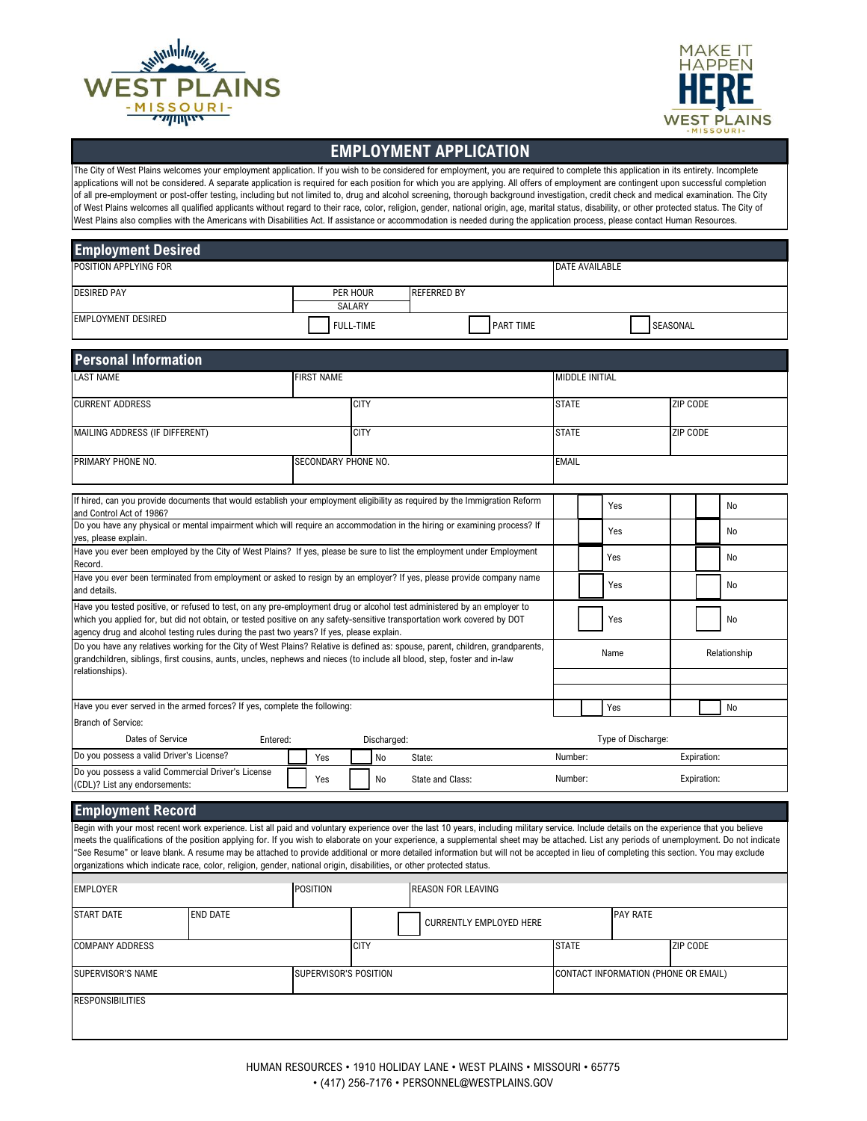



## **EMPLOYMENT APPLICATION**

The City of West Plains welcomes your employment application. If you wish to be considered for employment, you are required to complete this application in its entirety. Incomplete applications will not be considered. A separate application is required for each position for which you are applying. All offers of employment are contingent upon successful completion of all pre-employment or post-offer testing, including but not limited to, drug and alcohol screening, thorough background investigation, credit check and medical examination. The City of West Plains welcomes all qualified applicants without regard to their race, color, religion, gender, national origin, age, marital status, disability, or other protected status. The City of West Plains also complies with the Americans with Disabilities Act. If assistance or accommodation is needed during the application process, please contact Human Resources.

| <b>Employment Desired</b>                                                                                                                                                                                                                                                                                                                                                                                                                                                                                                                                                                                                                                                                                   |          |                       |                    |                           |                                |                                      |     |                    |                 |             |    |
|-------------------------------------------------------------------------------------------------------------------------------------------------------------------------------------------------------------------------------------------------------------------------------------------------------------------------------------------------------------------------------------------------------------------------------------------------------------------------------------------------------------------------------------------------------------------------------------------------------------------------------------------------------------------------------------------------------------|----------|-----------------------|--------------------|---------------------------|--------------------------------|--------------------------------------|-----|--------------------|-----------------|-------------|----|
| POSITION APPLYING FOR                                                                                                                                                                                                                                                                                                                                                                                                                                                                                                                                                                                                                                                                                       |          |                       |                    |                           |                                | DATE AVAILABLE                       |     |                    |                 |             |    |
| <b>DESIRED PAY</b>                                                                                                                                                                                                                                                                                                                                                                                                                                                                                                                                                                                                                                                                                          |          |                       | PER HOUR<br>SALARY | <b>REFERRED BY</b>        |                                |                                      |     |                    |                 |             |    |
| <b>EMPLOYMENT DESIRED</b>                                                                                                                                                                                                                                                                                                                                                                                                                                                                                                                                                                                                                                                                                   |          |                       | <b>FULL-TIME</b>   |                           | PART TIME                      |                                      |     |                    | SEASONAL        |             |    |
| <b>Personal Information</b>                                                                                                                                                                                                                                                                                                                                                                                                                                                                                                                                                                                                                                                                                 |          |                       |                    |                           |                                |                                      |     |                    |                 |             |    |
| <b>LAST NAME</b>                                                                                                                                                                                                                                                                                                                                                                                                                                                                                                                                                                                                                                                                                            |          | <b>FIRST NAME</b>     |                    |                           |                                | <b>MIDDLE INITIAL</b>                |     |                    |                 |             |    |
| <b>CURRENT ADDRESS</b>                                                                                                                                                                                                                                                                                                                                                                                                                                                                                                                                                                                                                                                                                      |          |                       | <b>CITY</b>        |                           |                                | <b>STATE</b>                         |     |                    | ZIP CODE        |             |    |
| MAILING ADDRESS (IF DIFFERENT)                                                                                                                                                                                                                                                                                                                                                                                                                                                                                                                                                                                                                                                                              |          |                       | <b>CITY</b>        |                           |                                | <b>STATE</b>                         |     |                    | ZIP CODE        |             |    |
| PRIMARY PHONE NO.                                                                                                                                                                                                                                                                                                                                                                                                                                                                                                                                                                                                                                                                                           |          | SECONDARY PHONE NO.   |                    |                           |                                | <b>EMAIL</b>                         |     |                    |                 |             |    |
| If hired, can you provide documents that would establish your employment eligibility as required by the Immigration Reform<br>and Control Act of 1986?                                                                                                                                                                                                                                                                                                                                                                                                                                                                                                                                                      |          |                       |                    |                           |                                |                                      | Yes |                    |                 |             | No |
| Do you have any physical or mental impairment which will require an accommodation in the hiring or examining process? If<br>yes, please explain.                                                                                                                                                                                                                                                                                                                                                                                                                                                                                                                                                            |          |                       |                    |                           |                                |                                      | Yes |                    |                 |             | No |
| Have you ever been employed by the City of West Plains? If yes, please be sure to list the employment under Employment<br>Record.                                                                                                                                                                                                                                                                                                                                                                                                                                                                                                                                                                           |          |                       |                    |                           |                                |                                      | Yes |                    |                 |             | No |
| Have you ever been terminated from employment or asked to resign by an employer? If yes, please provide company name<br>and details.                                                                                                                                                                                                                                                                                                                                                                                                                                                                                                                                                                        |          |                       |                    |                           |                                |                                      | Yes |                    |                 |             | No |
| Have you tested positive, or refused to test, on any pre-employment drug or alcohol test administered by an employer to<br>which you applied for, but did not obtain, or tested positive on any safety-sensitive transportation work covered by DOT<br>agency drug and alcohol testing rules during the past two years? If yes, please explain.                                                                                                                                                                                                                                                                                                                                                             |          |                       |                    |                           |                                |                                      | Yes |                    |                 |             | No |
| Do you have any relatives working for the City of West Plains? Relative is defined as: spouse, parent, children, grandparents,<br>grandchildren, siblings, first cousins, aunts, uncles, nephews and nieces (to include all blood, step, foster and in-law                                                                                                                                                                                                                                                                                                                                                                                                                                                  |          |                       |                    | Relationship<br>Name      |                                |                                      |     |                    |                 |             |    |
| relationships).                                                                                                                                                                                                                                                                                                                                                                                                                                                                                                                                                                                                                                                                                             |          |                       |                    |                           |                                |                                      |     |                    |                 |             |    |
| Have you ever served in the armed forces? If yes, complete the following:<br>Yes<br><b>No</b>                                                                                                                                                                                                                                                                                                                                                                                                                                                                                                                                                                                                               |          |                       |                    |                           |                                |                                      |     |                    |                 |             |    |
| <b>Branch of Service:</b>                                                                                                                                                                                                                                                                                                                                                                                                                                                                                                                                                                                                                                                                                   |          |                       |                    |                           |                                |                                      |     |                    |                 |             |    |
| Dates of Service                                                                                                                                                                                                                                                                                                                                                                                                                                                                                                                                                                                                                                                                                            | Entered: |                       | Discharged:        |                           |                                |                                      |     | Type of Discharge: |                 |             |    |
| Do you possess a valid Driver's License?                                                                                                                                                                                                                                                                                                                                                                                                                                                                                                                                                                                                                                                                    |          | Yes                   | No                 | State:                    |                                | Number:                              |     |                    |                 | Expiration: |    |
| Do you possess a valid Commercial Driver's License<br>(CDL)? List any endorsements:                                                                                                                                                                                                                                                                                                                                                                                                                                                                                                                                                                                                                         |          | Yes                   | No                 | State and Class:          |                                | Number:                              |     |                    |                 | Expiration: |    |
| <b>Employment Record</b>                                                                                                                                                                                                                                                                                                                                                                                                                                                                                                                                                                                                                                                                                    |          |                       |                    |                           |                                |                                      |     |                    |                 |             |    |
| Begin with your most recent work experience. List all paid and voluntary experience over the last 10 years, including military service. Include details on the experience that you believe<br>meets the qualifications of the position applying for. If you wish to elaborate on your experience, a supplemental sheet may be attached. List any periods of unemployment. Do not indicate<br>'See Resume" or leave blank. A resume may be attached to provide additional or more detailed information but will not be accepted in lieu of completing this section. You may exclude<br>organizations which indicate race, color, religion, gender, national origin, disabilities, or other protected status. |          |                       |                    |                           |                                |                                      |     |                    |                 |             |    |
| <b>EMPLOYER</b>                                                                                                                                                                                                                                                                                                                                                                                                                                                                                                                                                                                                                                                                                             |          | <b>POSITION</b>       |                    | <b>REASON FOR LEAVING</b> |                                |                                      |     |                    |                 |             |    |
| START DATE                                                                                                                                                                                                                                                                                                                                                                                                                                                                                                                                                                                                                                                                                                  | END DATE |                       |                    |                           | <b>CURRENTLY EMPLOYED HERE</b> |                                      |     | PAY RATE           |                 |             |    |
| <b>COMPANY ADDRESS</b>                                                                                                                                                                                                                                                                                                                                                                                                                                                                                                                                                                                                                                                                                      |          |                       | <b>CITY</b>        |                           |                                | <b>STATE</b>                         |     |                    | <b>ZIP CODE</b> |             |    |
| SUPERVISOR'S NAME                                                                                                                                                                                                                                                                                                                                                                                                                                                                                                                                                                                                                                                                                           |          | SUPERVISOR'S POSITION |                    |                           |                                | CONTACT INFORMATION (PHONE OR EMAIL) |     |                    |                 |             |    |
| <b>RESPONSIBILITIES</b>                                                                                                                                                                                                                                                                                                                                                                                                                                                                                                                                                                                                                                                                                     |          |                       |                    |                           |                                |                                      |     |                    |                 |             |    |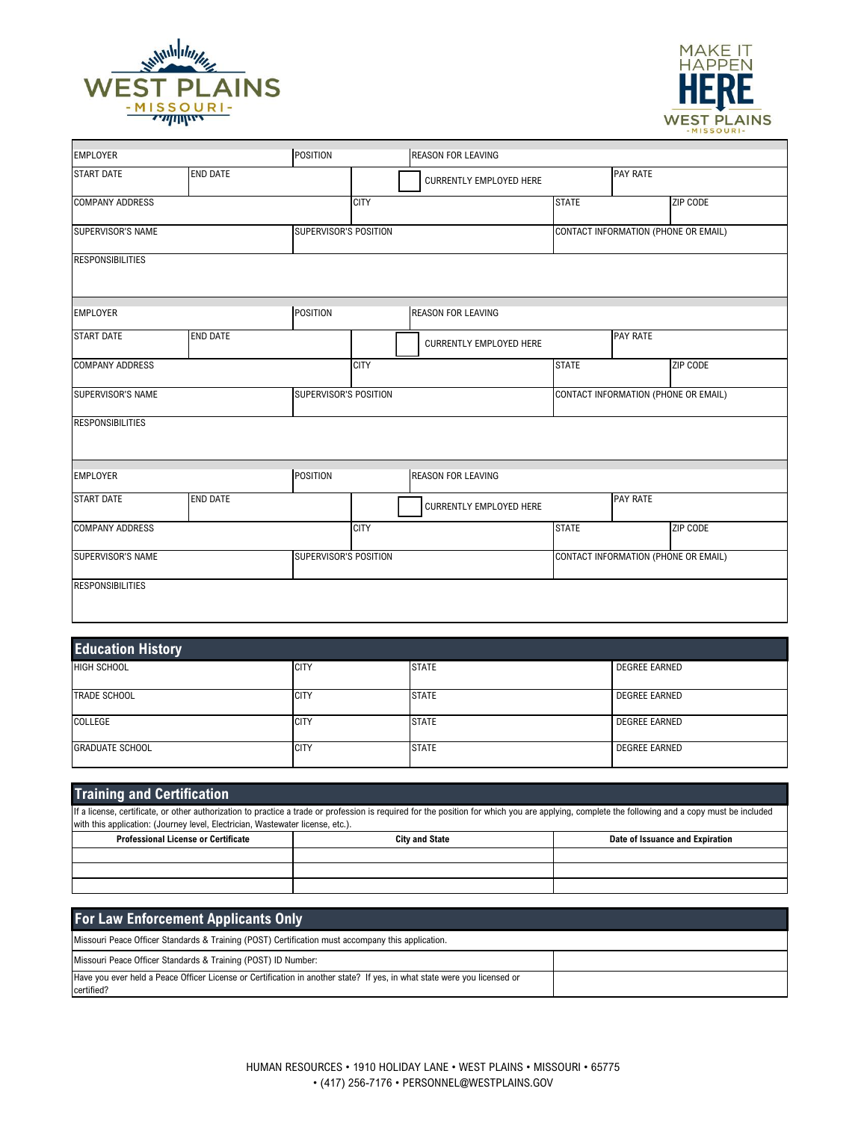

Г



٦

 $\overline{\phantom{a}}$ 

| <b>EMPLOYER</b>         |                 | <b>POSITION</b>       |             | <b>REASON FOR LEAVING</b>      |              |                                      |          |
|-------------------------|-----------------|-----------------------|-------------|--------------------------------|--------------|--------------------------------------|----------|
| <b>START DATE</b>       | <b>END DATE</b> |                       |             | <b>CURRENTLY EMPLOYED HERE</b> |              | <b>PAY RATE</b>                      |          |
| <b>COMPANY ADDRESS</b>  |                 |                       | <b>CITY</b> |                                | <b>STATE</b> |                                      | ZIP CODE |
| SUPERVISOR'S NAME       |                 | SUPERVISOR'S POSITION |             |                                |              | CONTACT INFORMATION (PHONE OR EMAIL) |          |
| <b>RESPONSIBILITIES</b> |                 |                       |             |                                |              |                                      |          |
| <b>EMPLOYER</b>         |                 | <b>POSITION</b>       |             | <b>REASON FOR LEAVING</b>      |              |                                      |          |
| <b>START DATE</b>       | <b>END DATE</b> |                       |             | <b>CURRENTLY EMPLOYED HERE</b> |              | <b>PAY RATE</b>                      |          |
| <b>COMPANY ADDRESS</b>  |                 |                       | <b>CITY</b> |                                | <b>STATE</b> |                                      | ZIP CODE |
| SUPERVISOR'S NAME       |                 | SUPERVISOR'S POSITION |             |                                |              | CONTACT INFORMATION (PHONE OR EMAIL) |          |
| <b>RESPONSIBILITIES</b> |                 |                       |             |                                |              |                                      |          |
| <b>EMPLOYER</b>         |                 | <b>POSITION</b>       |             | <b>REASON FOR LEAVING</b>      |              |                                      |          |
| <b>START DATE</b>       | <b>END DATE</b> |                       |             | <b>CURRENTLY EMPLOYED HERE</b> |              | <b>PAY RATE</b>                      |          |
| <b>COMPANY ADDRESS</b>  |                 |                       | <b>CITY</b> |                                | <b>STATE</b> |                                      | ZIP CODE |
| SUPERVISOR'S NAME       |                 | SUPERVISOR'S POSITION |             |                                |              | CONTACT INFORMATION (PHONE OR EMAIL) |          |
| <b>RESPONSIBILITIES</b> |                 |                       |             |                                |              |                                      |          |

| <b>Education History</b> |             |              |                      |  |  |
|--------------------------|-------------|--------------|----------------------|--|--|
| <b>HIGH SCHOOL</b>       | <b>CITY</b> | <b>STATE</b> | <b>DEGREE EARNED</b> |  |  |
| <b>TRADE SCHOOL</b>      | <b>CITY</b> | <b>STATE</b> | <b>DEGREE EARNED</b> |  |  |
| COLLEGE                  | <b>CITY</b> | <b>STATE</b> | <b>DEGREE EARNED</b> |  |  |
| <b>GRADUATE SCHOOL</b>   | <b>CITY</b> | <b>STATE</b> | <b>DEGREE EARNED</b> |  |  |

| <b>Training and Certification</b>                                                                                                                                                                                                                                                 |  |  |  |  |  |  |
|-----------------------------------------------------------------------------------------------------------------------------------------------------------------------------------------------------------------------------------------------------------------------------------|--|--|--|--|--|--|
| If a license, certificate, or other authorization to practice a trade or profession is required for the position for which you are applying, complete the following and a copy must be included<br>with this application: (Journey level, Electrician, Wastewater license, etc.). |  |  |  |  |  |  |
| <b>Professional License or Certificate</b><br><b>City and State</b><br>Date of Issuance and Expiration                                                                                                                                                                            |  |  |  |  |  |  |
|                                                                                                                                                                                                                                                                                   |  |  |  |  |  |  |
|                                                                                                                                                                                                                                                                                   |  |  |  |  |  |  |
|                                                                                                                                                                                                                                                                                   |  |  |  |  |  |  |

| <b>For Law Enforcement Applicants Only</b>                                                                                             |  |
|----------------------------------------------------------------------------------------------------------------------------------------|--|
| Missouri Peace Officer Standards & Training (POST) Certification must accompany this application.                                      |  |
| Missouri Peace Officer Standards & Training (POST) ID Number:                                                                          |  |
| Have you ever held a Peace Officer License or Certification in another state? If yes, in what state were you licensed or<br>certified? |  |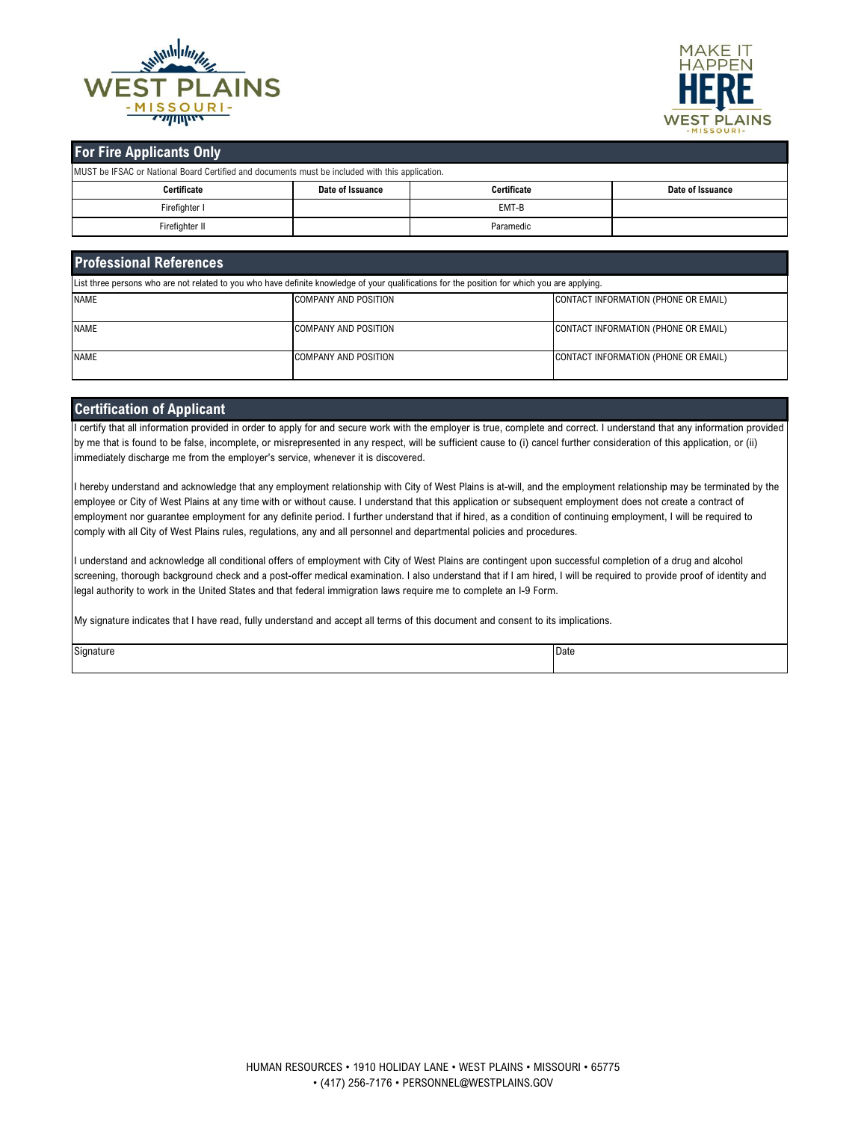



## **For Fire Applicants Only**

MUST be IFSAC or National Board Certified and documents must be included with this application.

| <b>TWOOT DE IT ONO OF IVALIONAL DUAL U CELLINGU AND QUODITIENTS THUSE DE INCIDENT WILLI LINS ADDITIONAL</b> |                  |                    |                  |  |  |  |
|-------------------------------------------------------------------------------------------------------------|------------------|--------------------|------------------|--|--|--|
| Certificate                                                                                                 | Date of Issuance | <b>Certificate</b> | Date of Issuance |  |  |  |
| Firefighter I                                                                                               |                  | EMT-B              |                  |  |  |  |
| Firefighter II                                                                                              |                  | Paramedic          |                  |  |  |  |

| <b>Professional References</b>                                                                                                                |                             |                                      |  |  |  |  |
|-----------------------------------------------------------------------------------------------------------------------------------------------|-----------------------------|--------------------------------------|--|--|--|--|
| List three persons who are not related to you who have definite knowledge of your qualifications for the position for which you are applying. |                             |                                      |  |  |  |  |
| <b>NAME</b>                                                                                                                                   | <b>COMPANY AND POSITION</b> | CONTACT INFORMATION (PHONE OR EMAIL) |  |  |  |  |
| <b>NAME</b>                                                                                                                                   | <b>COMPANY AND POSITION</b> | CONTACT INFORMATION (PHONE OR EMAIL) |  |  |  |  |
| <b>NAME</b>                                                                                                                                   | <b>COMPANY AND POSITION</b> | CONTACT INFORMATION (PHONE OR EMAIL) |  |  |  |  |

### **Certification of Applicant**

I certify that all information provided in order to apply for and secure work with the employer is true, complete and correct. I understand that any information provided by me that is found to be false, incomplete, or misrepresented in any respect, will be sufficient cause to (i) cancel further consideration of this application, or (ii) immediately discharge me from the employer's service, whenever it is discovered.

I hereby understand and acknowledge that any employment relationship with City of West Plains is at-will, and the employment relationship may be terminated by the employee or City of West Plains at any time with or without cause. I understand that this application or subsequent employment does not create a contract of employment nor guarantee employment for any definite period. I further understand that if hired, as a condition of continuing employment, I will be required to comply with all City of West Plains rules, regulations, any and all personnel and departmental policies and procedures.

I understand and acknowledge all conditional offers of employment with City of West Plains are contingent upon successful completion of a drug and alcohol screening, thorough background check and a post-offer medical examination. I also understand that if I am hired, I will be required to provide proof of identity and legal authority to work in the United States and that federal immigration laws require me to complete an I-9 Form.

My signature indicates that I have read, fully understand and accept all terms of this document and consent to its implications.

| $\sim$<br>√i∩nat⊔r | חו<br>Dale<br>. |  |
|--------------------|-----------------|--|
|                    |                 |  |